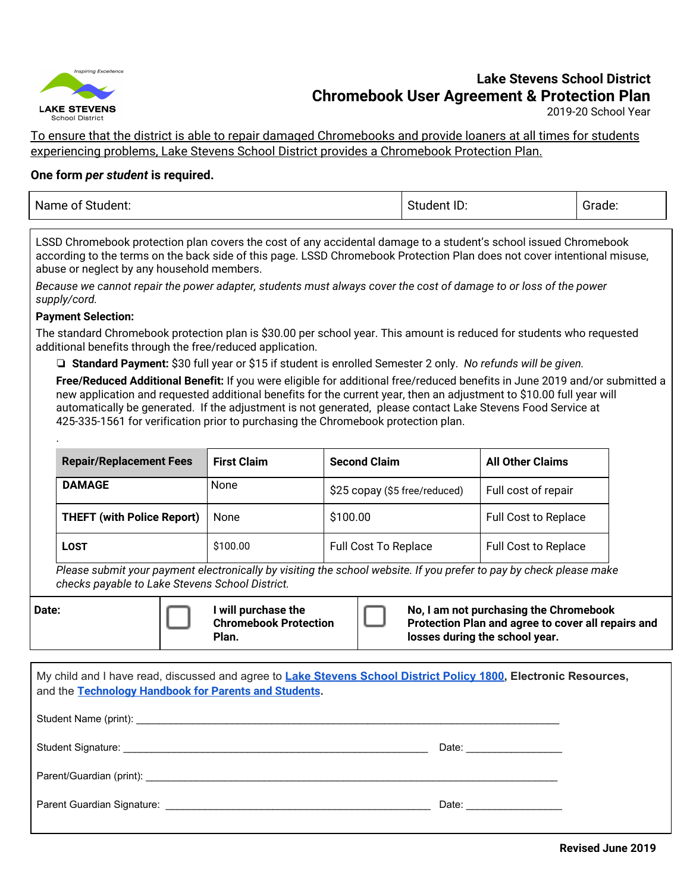

# **Lake Stevens School District Chromebook User Agreement & Protection Plan**

2019-20 School Year

To ensure that the district is able to repair damaged Chromebooks and provide loaners at all times for students experiencing problems, Lake Stevens School District provides a Chromebook Protection Plan.

## **One form** *per student* **is required.**

| Name of<br>---- | : ID:<br>- - - | .<br>Figue.<br>- - - |
|-----------------|----------------|----------------------|
|                 |                |                      |

LSSD Chromebook protection plan covers the cost of any accidental damage to a student's school issued Chromebook according to the terms on the back side of this page. LSSD Chromebook Protection Plan does not cover intentional misuse, abuse or neglect by any household members.

Because we cannot repair the power adapter, students must always cover the cost of damage to or loss of the power *supply/cord.*

#### **Payment Selection:**

.

The standard Chromebook protection plan is \$30.00 per school year. This amount is reduced for students who requested additional benefits through the free/reduced application.

❏ **Standard Payment:** \$30 full year or \$15 if student is enrolled Semester 2 only. *No refunds will be given.*

**Free/Reduced Additional Benefit:** If you were eligible for additional free/reduced benefits in June 2019 and/or submitted a new application and requested additional benefits for the current year, then an adjustment to \$10.00 full year will automatically be generated. If the adjustment is not generated, please contact Lake Stevens Food Service at 425-335-1561 for verification prior to purchasing the Chromebook protection plan.

| <b>Repair/Replacement Fees</b>    | <b>First Claim</b> | <b>Second Claim</b>           | <b>All Other Claims</b>     |
|-----------------------------------|--------------------|-------------------------------|-----------------------------|
| <b>DAMAGE</b>                     | None               | \$25 copay (\$5 free/reduced) | Full cost of repair         |
| <b>THEFT (with Police Report)</b> | None               | \$100.00                      | <b>Full Cost to Replace</b> |
| <b>LOST</b>                       | \$100.00           | <b>Full Cost To Replace</b>   | <b>Full Cost to Replace</b> |

Please submit your payment electronically by visiting the school website. If you prefer to pay by check please make *checks payable to Lake Stevens School District.*

| My child and I have read, discussed and agree to Lake Stevens School District Policy 1800, Electronic Resources,<br>and the Technology Handbook for Parents and Students. |                        |  |  |
|---------------------------------------------------------------------------------------------------------------------------------------------------------------------------|------------------------|--|--|
|                                                                                                                                                                           |                        |  |  |
|                                                                                                                                                                           | Date: ________________ |  |  |
|                                                                                                                                                                           |                        |  |  |
|                                                                                                                                                                           | Date: ________________ |  |  |